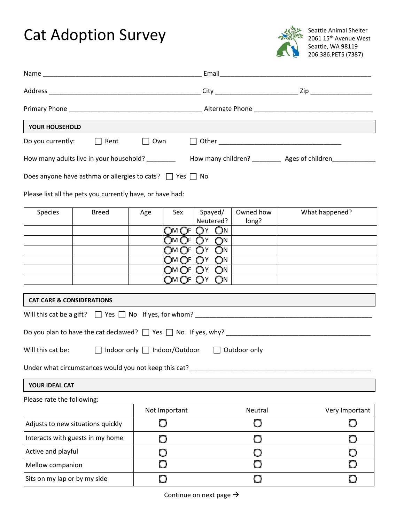## Cat Adoption Survey



Seattle Animal Shelter 2061 15<sup>th</sup> Avenue West Seattle, WA 98119 206.386.PETS (7387)

| YOUR HOUSEHOLD                       | Do you currently: $\Box$ Rent<br>$\Box$ Own<br>How many adults live in your household? How many children? Ages of children<br>Does anyone have asthma or allergies to cats? $\Box$ Yes $\Box$ No<br>Please list all the pets you currently have, or have had:<br>What happened?<br>Spayed/<br>Owned how<br><b>Breed</b><br>Sex<br>Age<br>Neutered?<br>long?<br>Om Of   Oy   On  <br>OM OF OY ON<br>OM OF OY ON<br>OM OF OY ON<br>OM OFI OY ON<br>OM OFI OY ON |                                                       |  |         |                |  |
|--------------------------------------|---------------------------------------------------------------------------------------------------------------------------------------------------------------------------------------------------------------------------------------------------------------------------------------------------------------------------------------------------------------------------------------------------------------------------------------------------------------|-------------------------------------------------------|--|---------|----------------|--|
|                                      |                                                                                                                                                                                                                                                                                                                                                                                                                                                               |                                                       |  |         |                |  |
|                                      |                                                                                                                                                                                                                                                                                                                                                                                                                                                               |                                                       |  |         |                |  |
|                                      |                                                                                                                                                                                                                                                                                                                                                                                                                                                               |                                                       |  |         |                |  |
|                                      |                                                                                                                                                                                                                                                                                                                                                                                                                                                               |                                                       |  |         |                |  |
| Species                              |                                                                                                                                                                                                                                                                                                                                                                                                                                                               |                                                       |  |         |                |  |
|                                      |                                                                                                                                                                                                                                                                                                                                                                                                                                                               |                                                       |  |         |                |  |
|                                      |                                                                                                                                                                                                                                                                                                                                                                                                                                                               |                                                       |  |         |                |  |
|                                      |                                                                                                                                                                                                                                                                                                                                                                                                                                                               |                                                       |  |         |                |  |
|                                      |                                                                                                                                                                                                                                                                                                                                                                                                                                                               |                                                       |  |         |                |  |
|                                      |                                                                                                                                                                                                                                                                                                                                                                                                                                                               |                                                       |  |         |                |  |
| <b>CAT CARE &amp; CONSIDERATIONS</b> |                                                                                                                                                                                                                                                                                                                                                                                                                                                               |                                                       |  |         |                |  |
|                                      |                                                                                                                                                                                                                                                                                                                                                                                                                                                               |                                                       |  |         |                |  |
|                                      |                                                                                                                                                                                                                                                                                                                                                                                                                                                               |                                                       |  |         |                |  |
| Will this cat be:                    |                                                                                                                                                                                                                                                                                                                                                                                                                                                               | □ Indoor only □ Indoor/Outdoor □ Outdoor only         |  |         |                |  |
|                                      |                                                                                                                                                                                                                                                                                                                                                                                                                                                               | Under what circumstances would you not keep this cat? |  |         |                |  |
| YOUR IDEAL CAT                       |                                                                                                                                                                                                                                                                                                                                                                                                                                                               |                                                       |  |         |                |  |
| Please rate the following:           |                                                                                                                                                                                                                                                                                                                                                                                                                                                               |                                                       |  |         |                |  |
|                                      |                                                                                                                                                                                                                                                                                                                                                                                                                                                               | Not Important                                         |  | Neutral | Very Important |  |
| Adjusts to new situations quickly    |                                                                                                                                                                                                                                                                                                                                                                                                                                                               | $\mathbf O$                                           |  | $\circ$ | $\circ$        |  |
| Interacts with guests in my home     |                                                                                                                                                                                                                                                                                                                                                                                                                                                               | O                                                     |  | $\Box$  | O              |  |
| Active and playful                   |                                                                                                                                                                                                                                                                                                                                                                                                                                                               |                                                       |  |         | O              |  |
| Mellow companion                     |                                                                                                                                                                                                                                                                                                                                                                                                                                                               |                                                       |  |         |                |  |
| Sits on my lap or by my side         |                                                                                                                                                                                                                                                                                                                                                                                                                                                               | O                                                     |  | O       | $\Box$         |  |